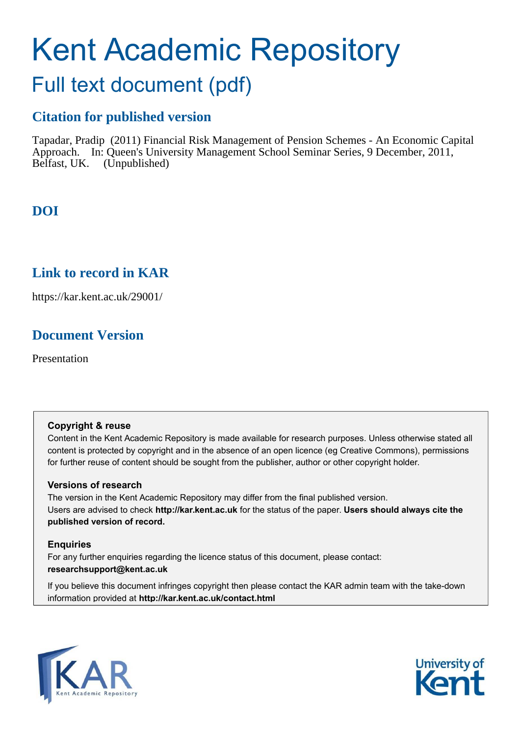# Kent Academic Repository

## Full text document (pdf)

#### **Citation for published version**

Tapadar, Pradip (2011) Financial Risk Management of Pension Schemes - An Economic Capital Approach. In: Queen's University Management School Seminar Series, 9 December, 2011, Belfast, UK. (Unpublished)

### **DOI**

#### <span id="page-0-0"></span>**Link to record in KAR**

https://kar.kent.ac.uk/29001/

#### **Document Version**

Presentation

#### **Copyright & reuse**

Content in the Kent Academic Repository is made available for research purposes. Unless otherwise stated all content is protected by copyright and in the absence of an open licence (eg Creative Commons), permissions for further reuse of content should be sought from the publisher, author or other copyright holder.

#### **Versions of research**

The version in the Kent Academic Repository may differ from the final published version. Users are advised to check **http://kar.kent.ac.uk** for the status of the paper. **Users should always cite the published version of record.**

#### **Enquiries**

For any further enquiries regarding the licence status of this document, please contact: **researchsupport@kent.ac.uk**

If you believe this document infringes copyright then please contact the KAR admin team with the take-down information provided at **http://kar.kent.ac.uk/contact.html**



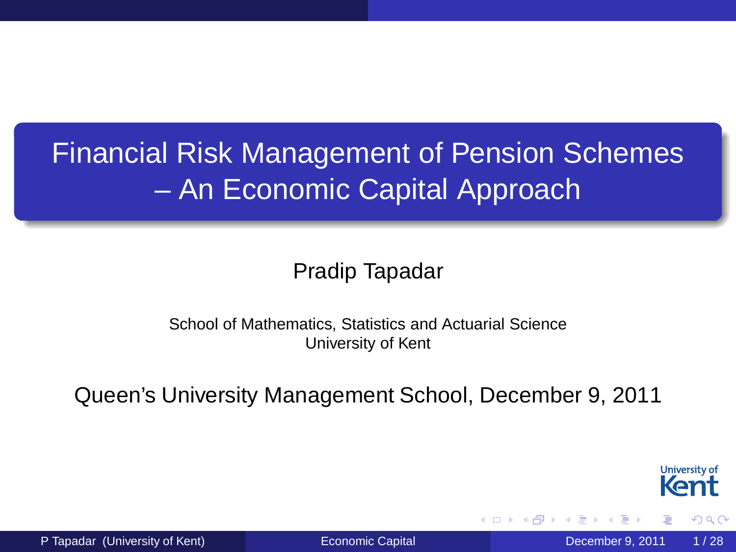#### Financial Risk Management of Pension Schemes – An Economic Capital Approach

#### Pradip Tapadar

#### School of Mathematics, Statistics and Actuarial Science University of Kent

Queen's University Management School, December 9, 2011

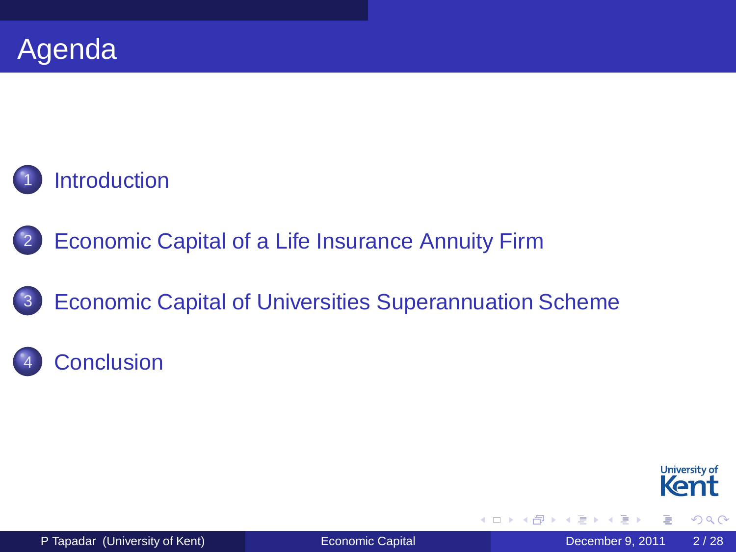

- [Economic Capital of a Life Insurance Annuity Firm](#page-7-0)
- 3 [Economic Capital of Universities Superannuation Scheme](#page-14-0)

#### **[Conclusion](#page-25-0)**



<span id="page-2-0"></span> $\Omega$ 

4. 17. 18

A D

3. 重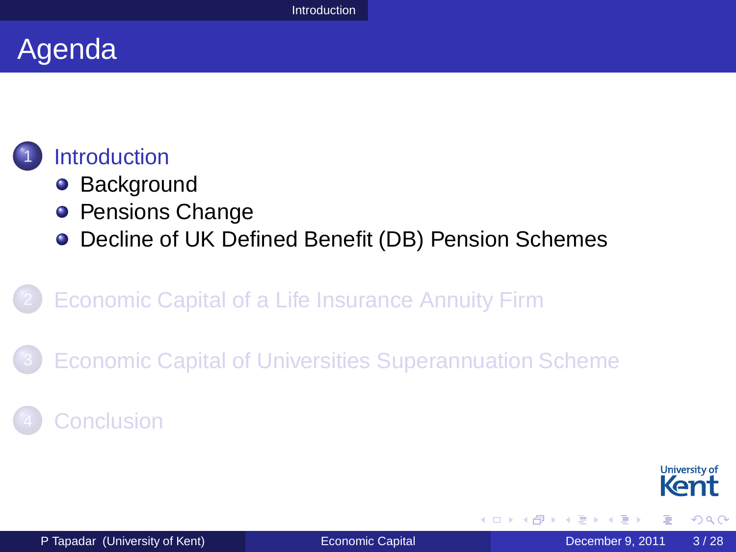#### Agenda

#### **[Introduction](#page-2-0)**

- **•** [Background](#page-3-0)
- **[Pensions Change](#page-4-0)**
- [Decline of UK Defined Benefit \(DB\) Pension Schemes](#page-5-0)

#### **[Economic Capital of a Life Insurance Annuity Firm](#page-7-0)**

[Economic Capital of Universities Superannuation Scheme](#page-14-0)

#### **[Conclusion](#page-25-0)**



<span id="page-3-0"></span> $\Omega$ 

-4 E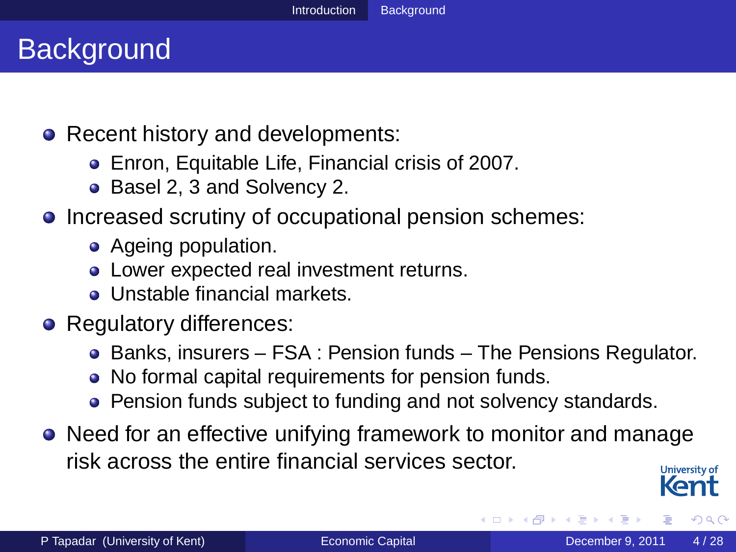#### **Background**

- Recent history and developments:
	- Enron, Equitable Life, Financial crisis of 2007.
	- Basel 2, 3 and Solvency 2.
- Increased scrutiny of occupational pension schemes:
	- Ageing population.
	- Lower expected real investment returns.
	- Unstable financial markets.
- Regulatory differences:
	- Banks, insurers FSA : Pension funds The Pensions Regulator.
	- No formal capital requirements for pension funds.
	- Pension funds subject to funding and not solvency standards.
- Need for an effective unifying framework to monitor and manage risk across the entire financial services sector.



<span id="page-4-0"></span> $\Omega$ 

 $\mathcal{A}$   $\overline{\mathcal{B}}$   $\rightarrow$   $\mathcal{A}$   $\overline{\mathcal{B}}$   $\rightarrow$   $\mathcal{A}$   $\overline{\mathcal{B}}$   $\rightarrow$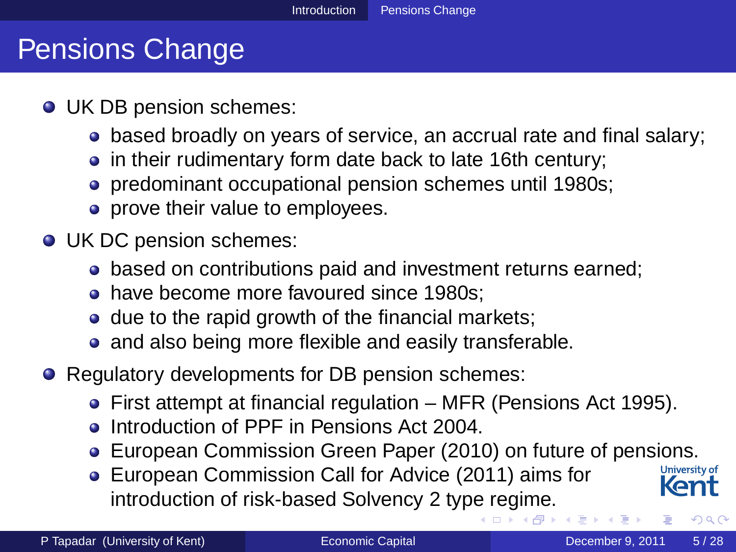#### Pensions Change

- UK DB pension schemes:
	- based broadly on years of service, an accrual rate and final salary;
	- in their rudimentary form date back to late 16th century;
	- predominant occupational pension schemes until 1980s;
	- prove their value to employees.
- UK DC pension schemes:
	- based on contributions paid and investment returns earned;
	- have become more favoured since 1980s:
	- $\bullet$  due to the rapid growth of the financial markets;
	- and also being more flexible and easily transferable.
- Regulatory developments for DB pension schemes:
	- First attempt at financial regulation MFR (Pensions Act 1995).
	- **Introduction of PPF in Pensions Act 2004**
	- **European Commission Green Paper (2010) on future of pensions.**<br> **EUROPEAN Commission Call for Advise (2011) sime for a University of**
	- European Commission Call for Advice (2011) aims for introduction of risk-based Solvency 2 typ[e r](#page-3-0)[eg](#page-5-0)[i](#page-3-0)[me](#page-4-0)[.](#page-5-0)

<span id="page-5-0"></span>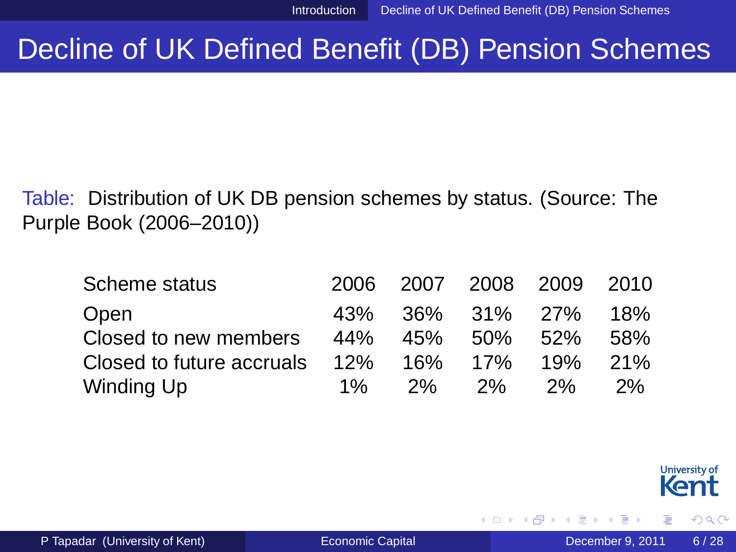4 m k

#### Decline of UK Defined Benefit (DB) Pension Schemes

Table: Distribution of UK DB pension schemes by status. (Source: The Purple Book (2006–2010))

| Scheme status             |     |           | 2006 2007 2008 2009 2010 |         |       |
|---------------------------|-----|-----------|--------------------------|---------|-------|
| Open                      |     |           | 43% 36% 31% 27% 18%      |         |       |
| Closed to new members     | 44% |           | 45% 50% 52%              |         | -58%  |
| Closed to future accruals | 12% |           | 16% 17%                  | 19% 21% |       |
| Winding Up                | 1%  | <b>2%</b> | 2%                       | 2%      | $2\%$ |

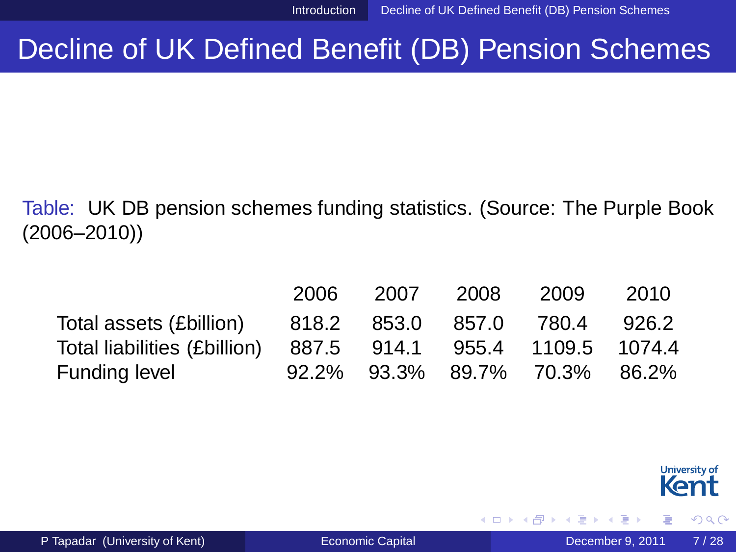4 m k 1

#### Decline of UK Defined Benefit (DB) Pension Schemes

#### Table: UK DB pension schemes funding statistics. (Source: The Purple Book (2006–2010))

|                                                              |  | 2006 2007 2008 2009 2010      |  |
|--------------------------------------------------------------|--|-------------------------------|--|
| Total assets (£billion) 818.2 853.0 857.0 780.4 926.2        |  |                               |  |
| Total liabilities (£billion) 887.5 914.1 955.4 1109.5 1074.4 |  |                               |  |
| Funding level                                                |  | 92.2% 93.3% 89.7% 70.3% 86.2% |  |



<span id="page-7-0"></span> $\Omega$ 

ミャイミ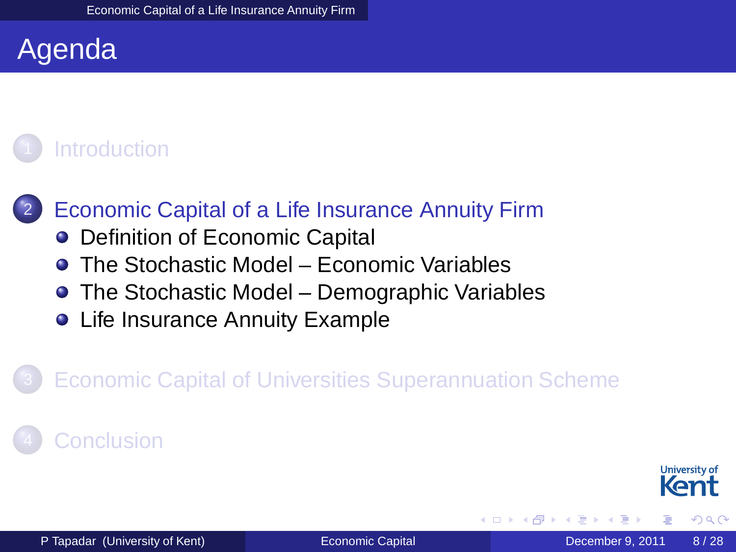#### Agenda

#### **[Introduction](#page-2-0)**

#### [Economic Capital of a Life Insurance Annuity Firm](#page-7-0)

- [Definition of Economic Capital](#page-8-0)
- [The Stochastic Model Economic Variables](#page-9-0)
- [The Stochastic Model Demographic Variables](#page-10-0)
- **[Life Insurance Annuity Example](#page-11-0)**

#### **[Economic Capital of Universities Superannuation Scheme](#page-14-0)**

#### <span id="page-8-0"></span>**[Conclusion](#page-25-0)**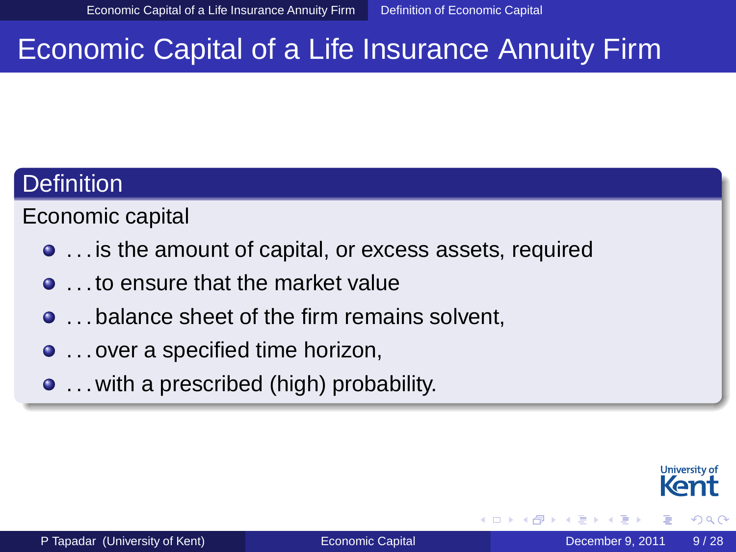#### Economic Capital of a Life Insurance Annuity Firm

#### **Definition**

Economic capital

- . . . is the amount of capital, or excess assets, required
- **.** . . to ensure that the market value
- $\bullet$  ... balance sheet of the firm remains solvent.
- ... over a specified time horizon,
- . . . with a prescribed (high) probability.

<span id="page-9-0"></span>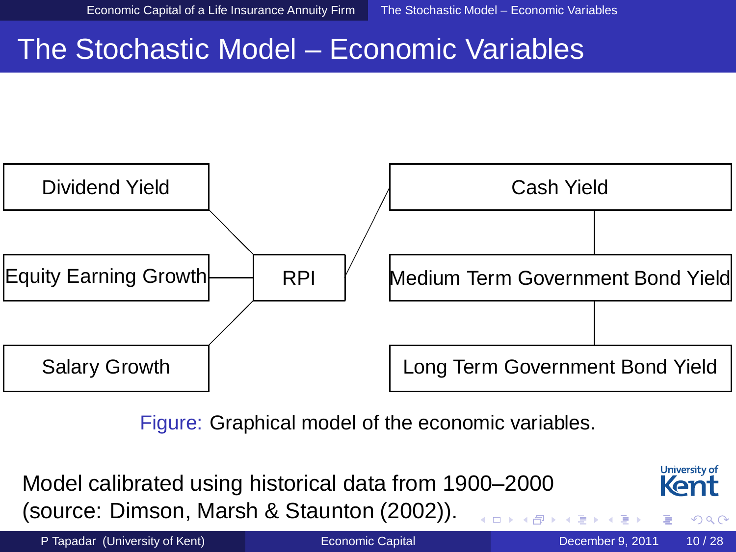#### The Stochastic Model – Economic Variables



Figure: Graphical model of the economic variables.

Model calibrated using historical data from 1900–2000 (source: Dimson, Marsh & Staunton (2002)).



<span id="page-10-0"></span> $\Omega$ 

P Tapadar (University of Kent) [Economic Capital](#page-0-0) December 9, 2011 10/28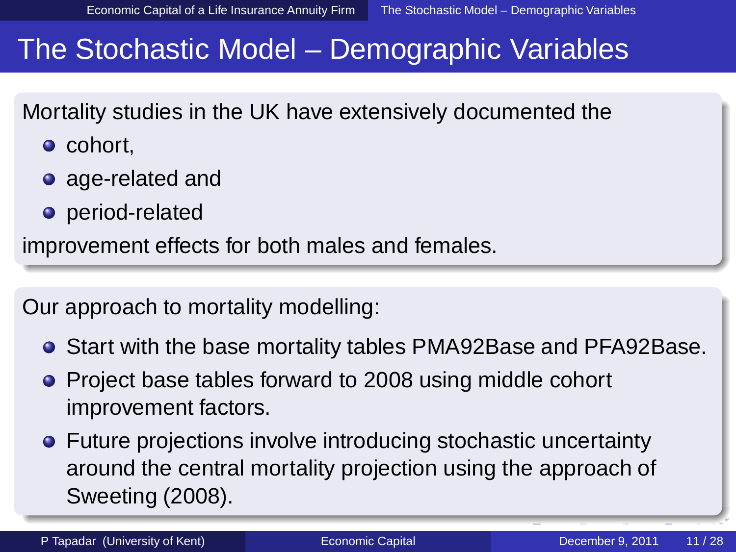#### The Stochastic Model – Demographic Variables

Mortality studies in the UK have extensively documented the

- cohort.
- age-related and
- period-related

improvement effects for both males and females.

Our approach to mortality modelling:

- Start with the base mortality tables PMA92Base and PFA92Base.
- Project base tables forward to 2008 using middle cohort improvement factors.
- <span id="page-11-0"></span>**•** Future projections involve introducing stochastic uncertainty around the central mortality projection using the approach of Sweeting (2008).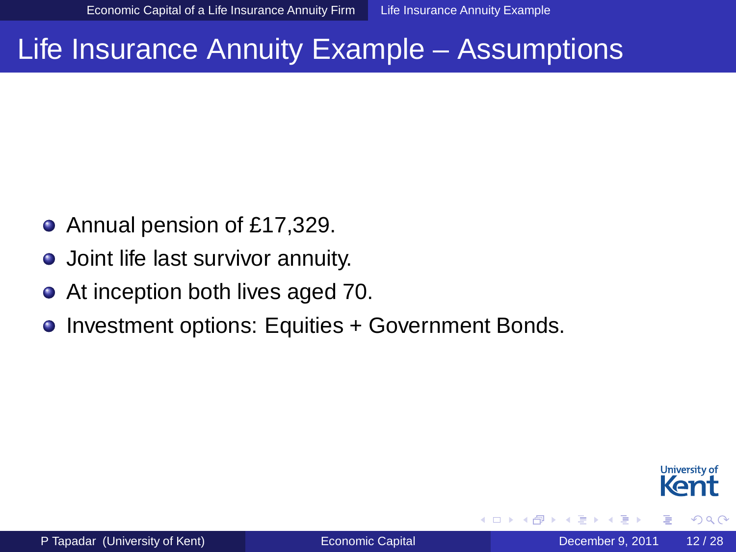#### Life Insurance Annuity Example – Assumptions

- Annual pension of £17,329.  $\bullet$
- **•** Joint life last survivor annuity.
- At inception both lives aged 70.  $\bullet$
- Investment options: Equities + Government Bonds.  $\bullet$

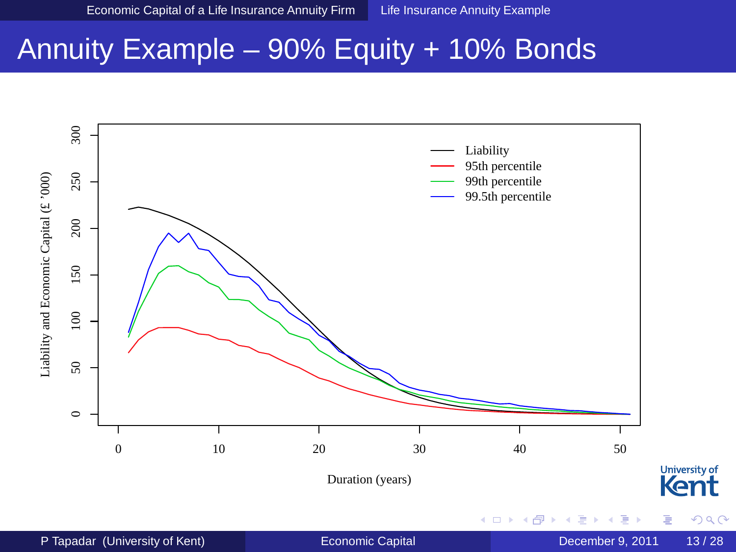#### Annuity Example – 90% Equity + 10% Bonds

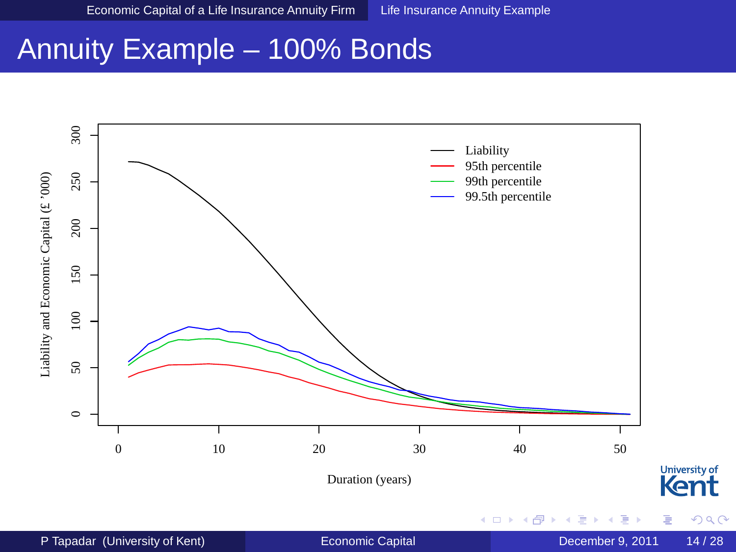#### Annuity Example – 100% Bonds

<span id="page-14-0"></span>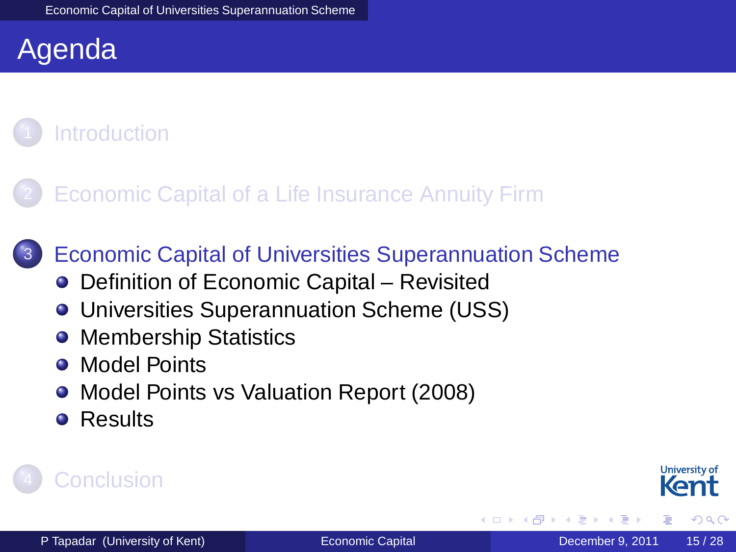#### Agenda

#### **[Introduction](#page-2-0)**



**[Economic Capital of Universities Superannuation Scheme](#page-14-0)** 

- [Definition of Economic Capital Revisited](#page-15-0)
- [Universities Superannuation Scheme \(USS\)](#page-16-0)
- [Membership Statistics](#page-17-0)  $\bullet$
- [Model Points](#page-18-0)  $\bullet$
- $\bullet$ [Model Points vs Valuation Report \(2008\)](#page-19-0)
- <span id="page-15-0"></span>**•** [Results](#page-20-0)

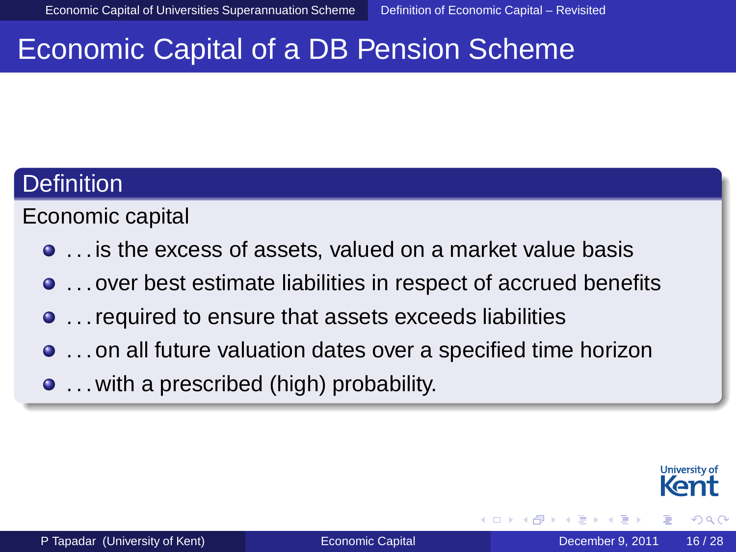#### Economic Capital of a DB Pension Scheme

#### **Definition**

Economic capital

- . . . is the excess of assets, valued on a market value basis
- . . . over best estimate liabilities in respect of accrued benefits
- . . . required to ensure that assets exceeds liabilities
- . . . on all future valuation dates over a specified time horizon
- . . . with a prescribed (high) probability.

<span id="page-16-0"></span>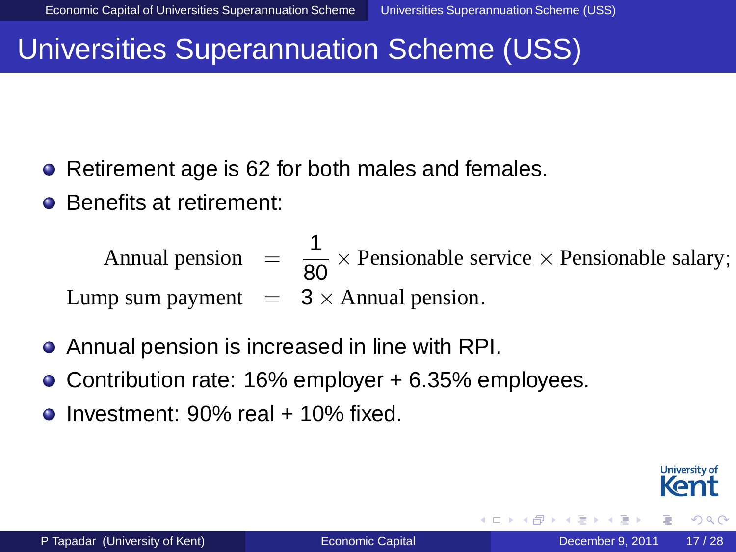#### Universities Superannuation Scheme (USS)

- Retirement age is 62 for both males and females.
- Benefits at retirement:

Annual pension  $= \frac{1}{80} \times$  Pensionable service  $\times$  Pensionable salary; Lump sum payment  $= 3 \times$  Annual pension.

- Annual pension is increased in line with RPI.
- Contribution rate: 16% employer + 6.35% employees.
- <span id="page-17-0"></span>Investment: 90% real + 10% fixed.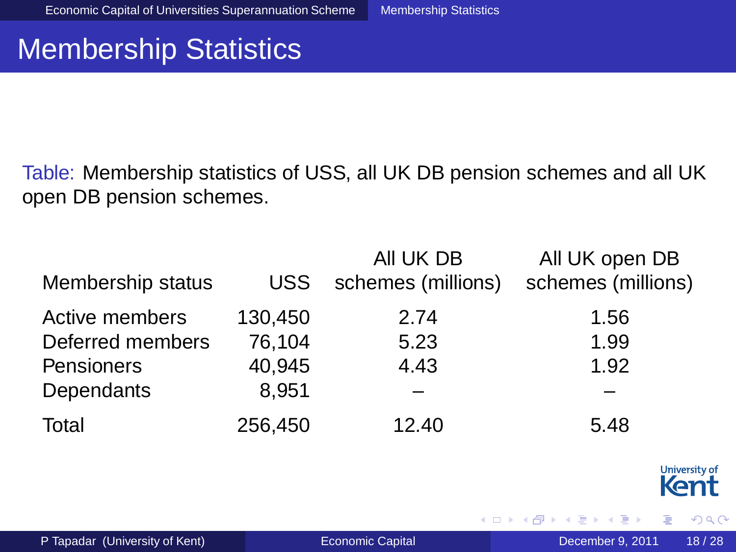#### Membership Statistics

Table: Membership statistics of USS, all UK DB pension schemes and all UK open DB pension schemes.

|                   |         | All UK DB          | All UK open DB     |
|-------------------|---------|--------------------|--------------------|
| Membership status | USS.    | schemes (millions) | schemes (millions) |
| Active members    | 130,450 | 2.74               | 1.56               |
| Deferred members  | 76,104  | 5.23               | 1.99               |
| Pensioners        | 40,945  | 4.43               | 1.92               |
| Dependants        | 8,951   |                    |                    |
| Total             | 256,450 | 12.40              | 5.48               |



<span id="page-18-0"></span> $299$ 

重き す重

4 m k 1  $\leftarrow$   $\leftarrow$   $\leftarrow$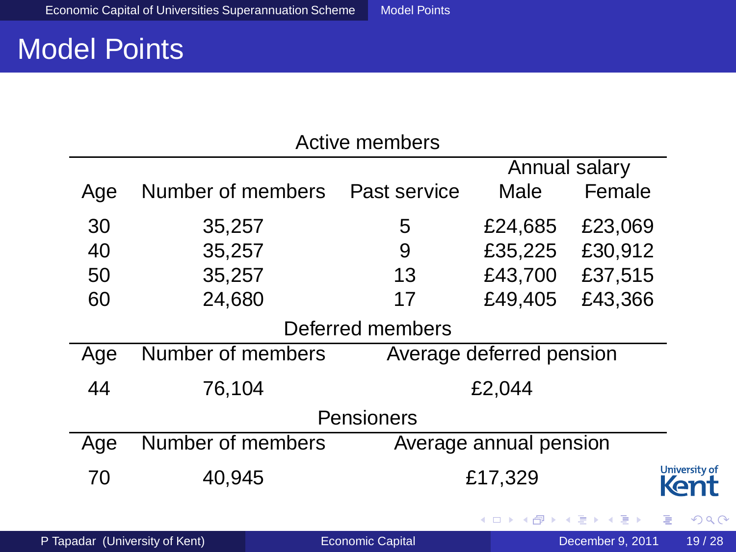#### Model Points

| Active members   |                                |  |                         |                          |                  |                       |
|------------------|--------------------------------|--|-------------------------|--------------------------|------------------|-----------------------|
| Annual salary    |                                |  |                         |                          |                  |                       |
| Age              | Number of members              |  | Past service            | Male                     | Female           |                       |
| 30               | 35,257                         |  | 5                       | £24,685                  | £23,069          |                       |
| 40               | 35,257                         |  | 9                       | £35,225                  | £30,912          |                       |
| 50               | 35,257                         |  | 13                      | £43,700                  | £37,515          |                       |
| 60               | 24,680                         |  | 17                      | £49,405                  | £43,366          |                       |
| Deferred members |                                |  |                         |                          |                  |                       |
| Age              | Number of members              |  |                         | Average deferred pension |                  |                       |
| 44               | 76,104                         |  |                         | £2,044                   |                  |                       |
| Pensioners       |                                |  |                         |                          |                  |                       |
| Age              | Number of members              |  |                         | Average annual pension   |                  |                       |
| 70               | 40,945                         |  |                         | £17,329                  |                  | University of<br>Kent |
|                  |                                |  |                         |                          | イロト イ押 トイヨ トイヨト  | G.<br>QQC             |
|                  | P Tapadar (University of Kent) |  | <b>Economic Capital</b> |                          | December 9, 2011 | 19/28                 |

<span id="page-19-0"></span> $2980$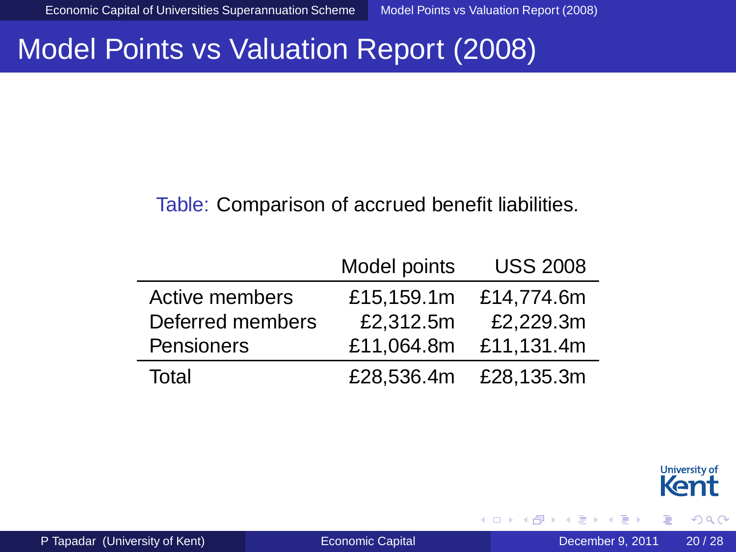#### Model Points vs Valuation Report (2008)

#### Table: Comparison of accrued benefit liabilities.

|                  | Model points | <b>USS 2008</b>       |
|------------------|--------------|-----------------------|
| Active members   | £15,159.1m   | £14.774.6m            |
| Deferred members | £2,312.5m    | £2,229.3m             |
| Pensioners       | £11,064.8m   | £11,131.4m            |
| Total            |              | £28.536.4m £28.135.3m |



<span id="page-20-0"></span> $299$ 

重き す重

4 n > 4 n +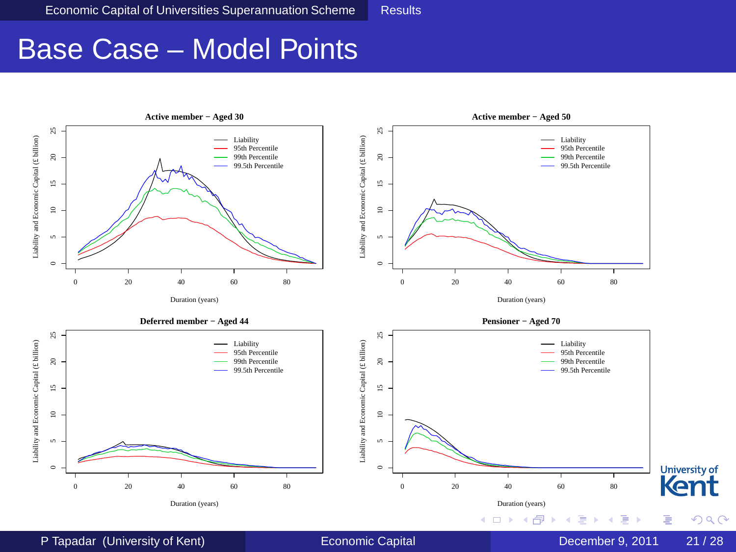#### Base Case – Model Points

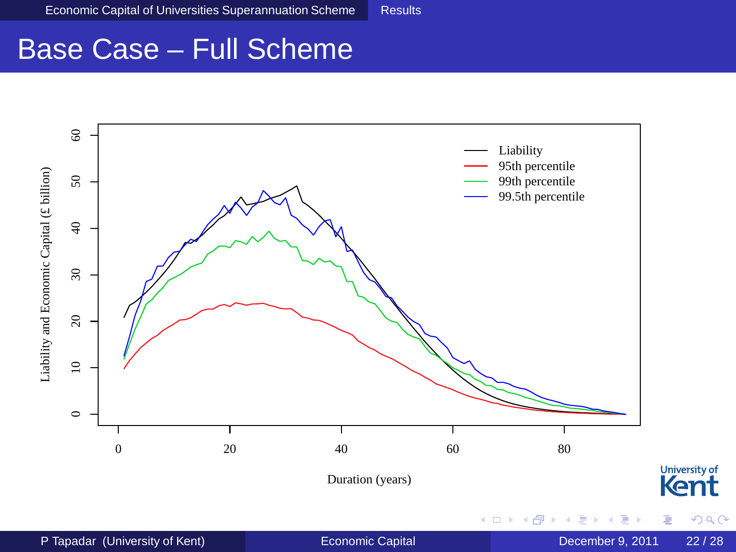#### Base Case – Full Scheme

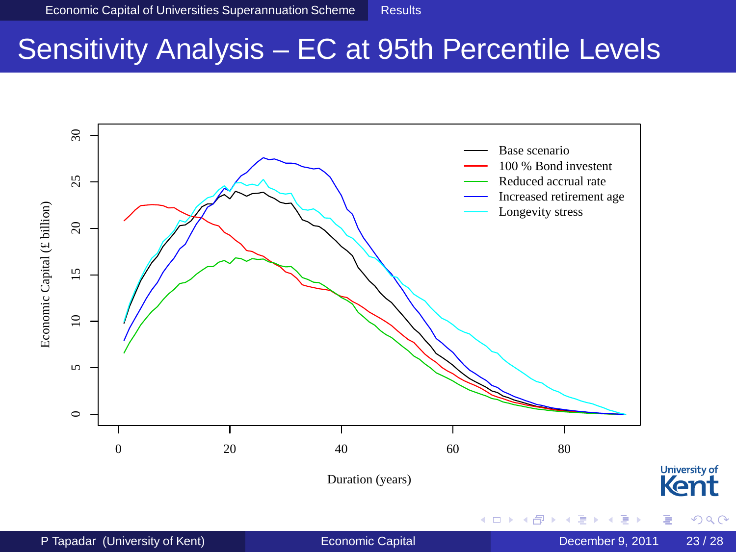#### Sensitivity Analysis – EC at 95th Percentile Levels

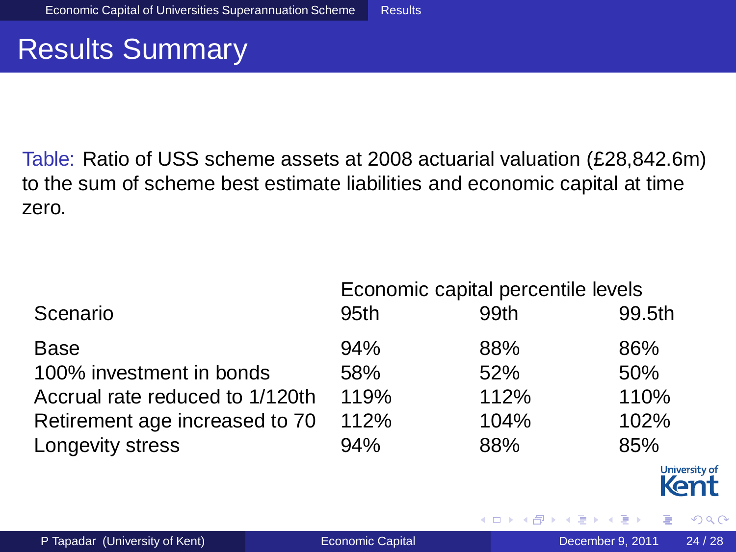#### Results Summary

Table: Ratio of USS scheme assets at 2008 actuarial valuation (£28,842.6m) to the sum of scheme best estimate liabilities and economic capital at time zero.

|                                 | Economic capital percentile levels |      |               |  |
|---------------------------------|------------------------------------|------|---------------|--|
| Scenario                        | 95 <sub>th</sub>                   | 99th | 99.5th        |  |
| Base                            | 94%                                | 88%  | 86%           |  |
| 100% investment in bonds        | 58%                                | 52%  | 50%           |  |
| Accrual rate reduced to 1/120th | 119%                               | 112% | 110%          |  |
| Retirement age increased to 70  | 112%                               | 104% | 102%          |  |
| Longevity stress                | 94%                                | 88%  | 85%           |  |
|                                 |                                    |      | University of |  |

4 m k

ミャイミ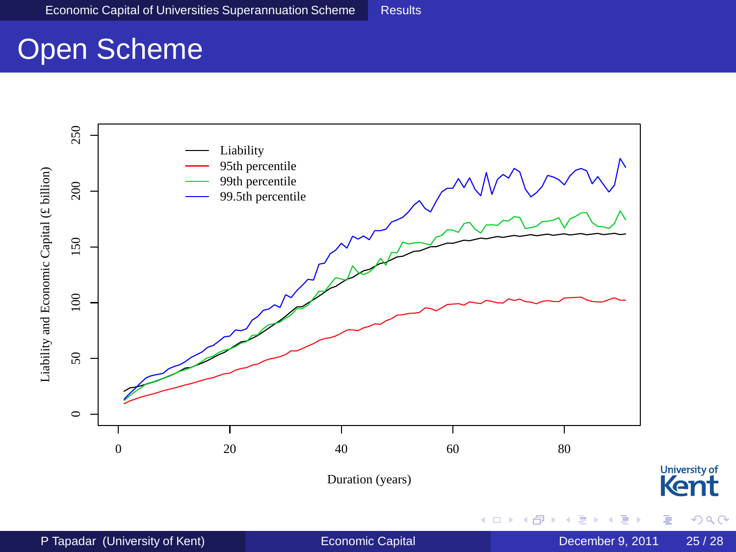#### Open Scheme

<span id="page-25-0"></span>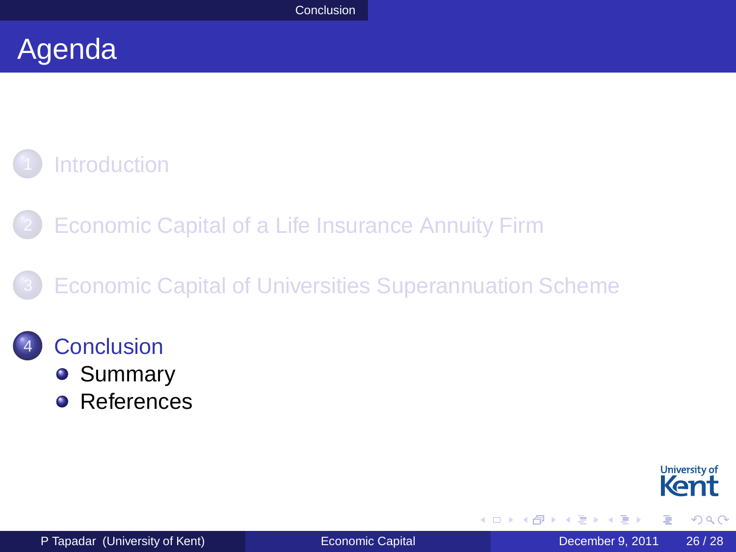#### Agenda

#### **[Introduction](#page-2-0)**

[Economic Capital of a Life Insurance Annuity Firm](#page-7-0)

#### **[Economic Capital of Universities Superannuation Scheme](#page-14-0)**

#### **[Conclusion](#page-25-0)**

- **[Summary](#page-26-0)**
- **•** [References](#page-27-0)



<span id="page-26-0"></span> $\Omega$ 

重き す重

4 m k 4 何 下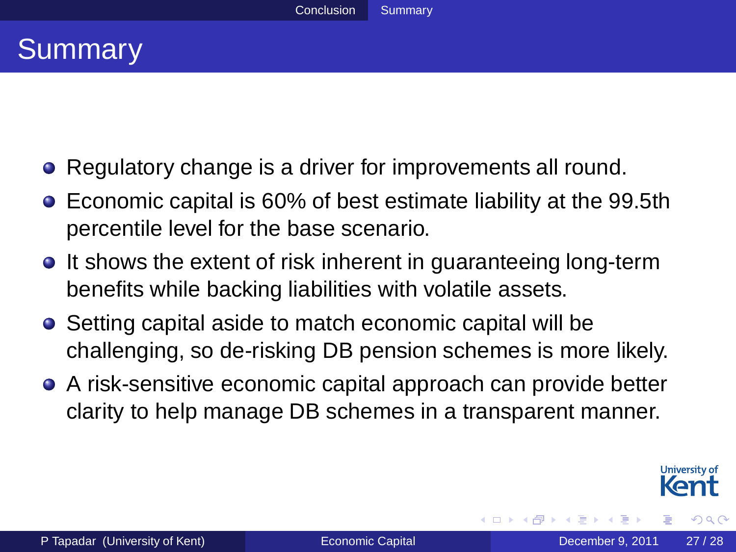#### **Summary**

- Regulatory change is a driver for improvements all round.  $\bullet$
- Economic capital is 60% of best estimate liability at the 99.5th percentile level for the base scenario.
- **It shows the extent of risk inherent in guaranteeing long-term** benefits while backing liabilities with volatile assets.
- Setting capital aside to match economic capital will be challenging, so de-risking DB pension schemes is more likely.
- A risk-sensitive economic capital approach can provide better clarity to help manage DB schemes in a transparent manner.

<span id="page-27-0"></span>